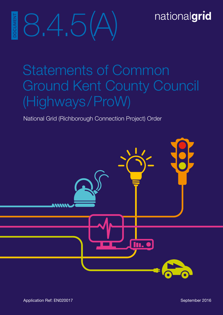## nationalgrid



# Statements of Common Ground Kent County Council (Highways/ProW)

National Grid (Richborough Connection Project) Order

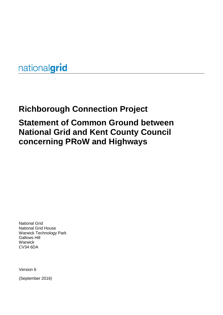nationalgrid

## **Richborough Connection Project**

## **Statement of Common Ground between National Grid and Kent County Council concerning PRoW and Highways**

National Grid National Grid House Warwick Technology Park Gallows Hill Warwick CV34 6DA

Version 6

(September 2016)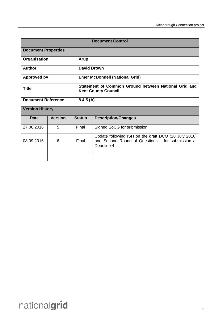| <b>Document Control</b>    |                |       |                                                                                    |                                                                                                                         |  |
|----------------------------|----------------|-------|------------------------------------------------------------------------------------|-------------------------------------------------------------------------------------------------------------------------|--|
| <b>Document Properties</b> |                |       |                                                                                    |                                                                                                                         |  |
| Organisation               |                |       | <b>Arup</b>                                                                        |                                                                                                                         |  |
| Author                     |                |       | <b>David Brown</b>                                                                 |                                                                                                                         |  |
| <b>Approved by</b>         |                |       | <b>Emer McDonnell (National Grid)</b>                                              |                                                                                                                         |  |
| <b>Title</b>               |                |       | Statement of Common Ground between National Grid and<br><b>Kent County Council</b> |                                                                                                                         |  |
| <b>Document Reference</b>  |                |       | 8.4.5(A)                                                                           |                                                                                                                         |  |
| <b>Version History</b>     |                |       |                                                                                    |                                                                                                                         |  |
| Date                       | <b>Version</b> |       | <b>Status</b>                                                                      | <b>Description/Changes</b>                                                                                              |  |
| 27.06.2016                 | 5              |       | Final                                                                              | Signed SoCG for submission                                                                                              |  |
| 08.09.2016                 | 6              | Final |                                                                                    | Update following ISH on the draft DCO (28 July 2016)<br>and Second Round of Questions - for submission at<br>Deadline 4 |  |
|                            |                |       |                                                                                    |                                                                                                                         |  |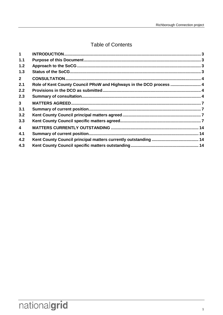## **Table of Contents**

| 1              |                                                                     |  |
|----------------|---------------------------------------------------------------------|--|
| 1.1            |                                                                     |  |
| 1.2            |                                                                     |  |
| 1.3            |                                                                     |  |
| $2^{\circ}$    |                                                                     |  |
| 2.1            | Role of Kent County Council PRoW and Highways in the DCO process  4 |  |
| 2.2            |                                                                     |  |
| 2.3            |                                                                     |  |
| 3 <sup>1</sup> |                                                                     |  |
| 3.1            |                                                                     |  |
| 3.2            |                                                                     |  |
| 3.3            |                                                                     |  |
| $\overline{4}$ |                                                                     |  |
| 4.1            |                                                                     |  |
| 4.2            |                                                                     |  |
| 4.3            |                                                                     |  |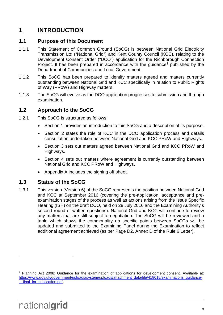## <span id="page-8-0"></span>**1 INTRODUCTION**

#### <span id="page-8-1"></span>**1.1 Purpose of this Document**

- 1.1.1 This Statement of Common Ground (SoCG) is between National Grid Electricity Transmission Ltd ("National Grid") and Kent County Council (KCC), relating to the Development Consent Order ("DCO") application for the Richborough Connection Project. It has been prepared in accordance with the quidance<sup>[1](#page-8-4)</sup> published by the Department of Communities and Local Government.
- 1.1.2 This SoCG has been prepared to identify matters agreed and matters currently outstanding between National Grid and KCC specifically in relation to Public Rights of Way (PRoW) and Highway matters.
- 1.1.3 The SoCG will evolve as the DCO application progresses to submission and through examination.

#### <span id="page-8-2"></span>**1.2 Approach to the SoCG**

- 1.2.1 This SoCG is structured as follows:
	- Section 1 provides an introduction to this SoCG and a description of its purpose.
	- Section 2 states the role of KCC in the DCO application process and details consultation undertaken between National Grid and KCC PRoW and Highways.
	- Section 3 sets out matters agreed between National Grid and KCC PRoW and Highways.
	- Section 4 sets out matters where agreement is currently outstanding between National Grid and KCC PRoW and Highways.
	- Appendix A includes the signing off sheet.

#### <span id="page-8-3"></span>**1.3 Status of the SoCG**

1.3.1 This version (Version 6) of the SoCG represents the position between National Grid and KCC at September 2016 (covering the pre-application, acceptance and preexamination stages of the process as well as actions arising from the Issue Specific Hearing (ISH) on the draft DCO, held on 28 July 2016 and the Examining Authority's second round of written questions). National Grid and KCC will continue to review any matters that are still subject to negotiation. The SoCG will be reviewed and a table which shows the commonality on specific points between SoCGs will be updated and submitted to the Examining Panel during the Examination to reflect additional agreement achieved (as per Page D2, Annex D of the Rule 6 Letter).

 $\overline{a}$ 

<span id="page-8-4"></span><sup>1</sup> Planning Act 2008: Guidance for the examination of applications for development consent. Available at: [https://www.gov.uk/government/uploads/system/uploads/attachment\\_data/file/418015/examinations\\_guidance-](https://www.gov.uk/government/uploads/system/uploads/attachment_data/file/418015/examinations_guidance-__final_for_publication.pdf) [\\_\\_final\\_for\\_publication.pdf](https://www.gov.uk/government/uploads/system/uploads/attachment_data/file/418015/examinations_guidance-__final_for_publication.pdf)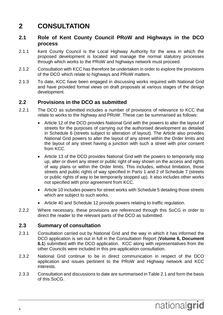## <span id="page-9-0"></span>**2 CONSULTATION**

#### <span id="page-9-1"></span>**2.1 Role of Kent County Council PRoW and Highways in the DCO process**

- 2.1.1 Kent County Council is the Local Highway Authority for the area in which the proposed development is located and manage the normal statutory processes through which works to the PRoW and highways network must proceed.
- 2.1.2 Consultation with KCC has therefore be undertaken in order to explore the provisions of the DCO which relate to highways and PRoW matters.
- 2.1.3 To date, KCC have been engaged in discussing works required with National Grid and have provided formal views on draft proposals at various stages of the design development.

#### <span id="page-9-2"></span>**2.2 Provisions in the DCO as submitted**

- 2.2.1 The DCO as submitted includes a number of provisions of relevance to KCC that relate to works to the highway and PRoW. These can be summarised as follows:
	- Article 12 of the DCO provides National Grid with the powers to alter the layout of streets for the purposes of carrying out the authorised development as detailed in Schedule 6 (streets subject to alteration of layout). The Article also provides National Grid powers to alter the layout of any street within the Order limits and the layout of any street having a junction with such a street with prior consent from KCC.
	- Article 13 of the DCO provides National Grid with the powers to temporarily stop up, alter or divert any street or public right of way shown on the access and rights of way plans or within the Order limits. This includes, without limitation, those streets and public rights of way specified in Parts 1 and 2 of Schedule 7 (streets or public rights of way to be temporarily stopped up). It also includes other works not specified with prior agreement from KCC.
	- Article 10 includes powers for street works with Schedule 5 detailing those streets which are subject to such works.
	- Article 40 and Schedule 12 provide powers relating to traffic regulation.
- 2.2.2 Where necessary, these provisions are referenced through this SoCG in order to direct the reader to the relevant parts of the DCO as submitted.

#### <span id="page-9-3"></span>**2.3 Summary of consultation**

- 2.3.1 Consultation carried out by National Grid and the way in which it has informed the DCO application is set out in full in the Consultation Report (**Volume 6, Document 6.1**) submitted with the DCO application. KCC along with representatives from the other Councils were included in this pre-application consultation.
- 2.3.2 National Grid continue to be in direct communication in respect of the DCO application and issues pertinent to the PRoW and Highway network and KCC interests.
- 2.3.3 Consultation and discussions to date are summarised in Table 2.1 and form the basis of this SoCG.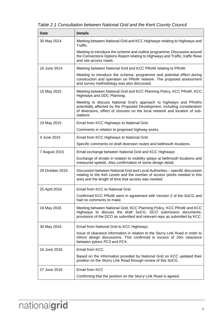*Table 2.1 Consultation between National Grid and the Kent County Council* 

| Date            | <b>Details</b>                                                                                                                                                                                                                             |
|-----------------|--------------------------------------------------------------------------------------------------------------------------------------------------------------------------------------------------------------------------------------------|
| 30 May 2014     | Meeting between National Grid and KCC Highways relating to Highways and<br>Traffic.                                                                                                                                                        |
|                 | Meeting to introduce the scheme and outline programme. Discussion around<br>the Connections Options Report relating to Highways and Traffic, traffic flows<br>and site access roads.                                                       |
| 16 June 2014    | Meeting between National Grid and KCC PRoW relating to PRoW.                                                                                                                                                                               |
|                 | Meeting to introduce the scheme, programme and potential effect during<br>construction and operation on PRoW network. The proposed assessment<br>and survey methodology was also discussed.                                                |
| 15 May 2015     | Meeting between National Grid and KCC Planning Policy, KCC PRoW, KCC<br>Highways and DDC Planning.                                                                                                                                         |
|                 | Meeting to discuss National Grid's approach to highways and PRoWs<br>potentially affected by the Proposed Development, including consideration<br>of diversions, effect of closures on the local network and location of sub-<br>stations. |
| 19 May 2015     | Email from KCC Highways to National Grid.                                                                                                                                                                                                  |
|                 | Comments in relation to proposed highway works.                                                                                                                                                                                            |
| 4 June 2015     | Email from KCC Highways to National Grid.                                                                                                                                                                                                  |
|                 | Specific comments on draft diversion routes and bellmouth locations.                                                                                                                                                                       |
| 7 August 2015   | Email exchange between National Grid and KCC Highways                                                                                                                                                                                      |
|                 | Exchange of emails in relation to visibility splays at bellmouth locations and<br>measured speeds. Also confirmation of some design detail.                                                                                                |
| 29 October 2015 | Discussion between National Grid and Local Authorities - specific discussion<br>relating to the Ash Levels and the number of access points needed in this<br>area and the length of time that access was needed.                           |
| 25 April 2016   | Email from KCC to National Grid.                                                                                                                                                                                                           |
|                 | Confirmed KCC PRoW were in agreement with Version 2 of the SoCG and<br>had no comments to make.                                                                                                                                            |
| 18 May 2016     | Meeting between National Grid, KCC Planning Policy, KCC PRoW and KCC<br>Highways to discuss the draft SoCG, DCO submission documents,<br>provisions of the DCO as submitted and relevant reps as submitted by KCC.                         |
| 30 May 2016     | Email from National Grid to KCC Highways.                                                                                                                                                                                                  |
|                 | Issue of clearance information in relation to the Sturry Link Road in order to<br>inform design discussions. This confirmed in excess of 16m clearance<br>between pylons PC3 and PC4.                                                      |
| 16 June 2016    | Email from KCC.                                                                                                                                                                                                                            |
|                 | Based on the information provided by National Grid on KCC updated their<br>position on the Sturry Link Road through review of this SoCG.                                                                                                   |
| 27 June 2016    | Email from KCC                                                                                                                                                                                                                             |
|                 | Confirming that the position on the Sturry Link Road is agreed.                                                                                                                                                                            |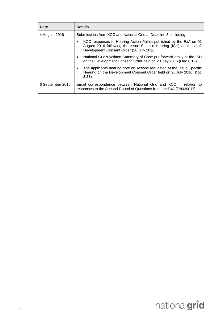| Date             | <b>Details</b>                                                                                                                                                                        |
|------------------|---------------------------------------------------------------------------------------------------------------------------------------------------------------------------------------|
| 4 August 2016    | Submissions from KCC and National Grid at Deadline 3, including:                                                                                                                      |
|                  | KCC responses to Hearing Action Points published by the ExA on 01<br>August 2016 following the Issue Specific Hearing (ISH) on the draft<br>Development Consent Order (28 July 2016). |
|                  | National Grid's Written Summary of Case put forward orally at the ISH<br>$\bullet$<br>on the Development Consent Order held on 28 July 2016 (Doc 8.16)                                |
|                  | The applicants hearing note on Actions requested at the Issue Specific<br>Hearing on the Development Consent Order held on 28 July 2016 (Doc<br>8.23)                                 |
| 6 September 2016 | Email correspondence between National Grid and KCC in relation to<br>responses to the Second Round of Questions from the ExA [EN020017].                                              |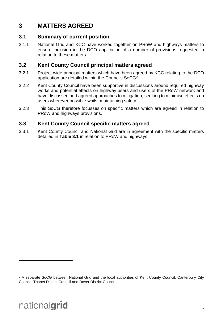## <span id="page-12-0"></span>**3 MATTERS AGREED**

#### <span id="page-12-1"></span>**3.1 Summary of current position**

3.1.1 National Grid and KCC have worked together on PRoW and highways matters to ensure inclusion in the DCO application of a number of provisions requested in relation to these matters.

#### <span id="page-12-2"></span>**3.2 Kent County Council principal matters agreed**

- 3.2.1 Project wide principal matters which have been agreed by KCC relating to the DCO application are detailed within the Councils SoCG<sup>2</sup>.
- 3.2.2 Kent County Council have been supportive in discussions around required highway works and potential effects on highway users and users of the PRoW network and have discussed and agreed approaches to mitigation, seeking to minimise effects on users wherever possible whilst maintaining safety.
- 3.2.3 This SoCG therefore focusses on specific matters which are agreed in relation to PRoW and highways provisions.

#### <span id="page-12-3"></span>**3.3 Kent County Council specific matters agreed**

3.3.1 Kent County Council and National Grid are in agreement with the specific matters detailed in **Table 3.1** in relation to PRoW and highways.

 $\overline{a}$ 

<span id="page-12-4"></span><sup>&</sup>lt;sup>2</sup> A separate SoCG between National Grid and the local authorities of Kent County Council, Canterbury City Council, Thanet District Council and Dover District Council.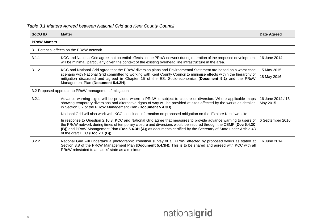| SoCG <sub>ID</sub>  | <b>Matter</b>                                                                                                                                                                                                                                                                                                                                                                                | Date Agreed                   |
|---------------------|----------------------------------------------------------------------------------------------------------------------------------------------------------------------------------------------------------------------------------------------------------------------------------------------------------------------------------------------------------------------------------------------|-------------------------------|
| <b>PRoW Matters</b> |                                                                                                                                                                                                                                                                                                                                                                                              |                               |
|                     | 3.1 Potential effects on the PRoW network                                                                                                                                                                                                                                                                                                                                                    |                               |
| 3.1.1               | KCC and National Grid agree that potential effects on the PRoW network during operation of the proposed development<br>will be minimal, particularly given the context of the existing overhead line infrastructure in the area.                                                                                                                                                             | 16 June 2014                  |
| 3.1.2               | KCC and National Grid agree that the PRoW diversion plans and Environmental Statement are based on a worst case<br>scenario with National Grid committed to working with Kent County Council to minimise effects within the hierarchy of<br>mitigation discussed and agreed in Chapter 15 of the ES: Socio-economics (Document 5.2) and the PRoW<br>Management Plan (Document 5.4.3H).       | 15 May 2015<br>18 May 2016    |
|                     | 3.2 Proposed approach to PRoW management / mitigation                                                                                                                                                                                                                                                                                                                                        |                               |
| 3.2.1               | Advance warning signs will be provided where a PRoW is subject to closure or diversion. Where applicable maps<br>showing temporary diversions and alternative rights of way will be provided at sites affected by the works as detailed<br>in Section 3.2 of the PRoW Management Plan (Document 5.4.3H).                                                                                     | 16 June 2014 / 15<br>May 2015 |
|                     | National Grid will also work with KCC to include information on proposed mitigation on the 'Explore Kent' website.                                                                                                                                                                                                                                                                           |                               |
|                     | In response to Question 2.10.3, KCC and National Grid agree that measures to provide advance warning to users of<br>the PRoW network during times of temporary closure and diversions would be secured through the CEMP (Doc 5.4.3C<br>(B)) and PRoW Management Plan (Doc 5.4.3H (A)) as documents certified by the Secretary of State under Article 43<br>of the draft DCO (Doc $2.1$ (B)). | 6 September 2016              |
| 3.2.2               | National Grid will undertake a photographic condition survey of all PRoW effected by proposed works as stated at<br>Section 3.8 of the PRoW Management Plan (Document 5.4.3H). This is to be shared and agreed with KCC with all<br>PRoW reinstated to an 'as is' state as a minimum.                                                                                                        | 16 June 2014                  |

#### *Table 3.1 Matters Agreed between National Grid and Kent County Council*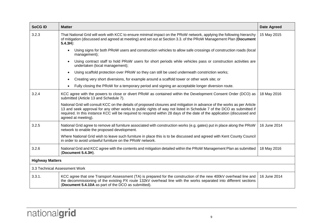| <b>SoCGID</b>                 | <b>Matter</b>                                                                                                                                                                                                                                                                                                                                                                                      | <b>Date Agreed</b> |
|-------------------------------|----------------------------------------------------------------------------------------------------------------------------------------------------------------------------------------------------------------------------------------------------------------------------------------------------------------------------------------------------------------------------------------------------|--------------------|
| 3.2.3                         | That National Grid will work with KCC to ensure minimal impact on the PRoW network, applying the following hierarchy<br>of mitigation (discussed and agreed at meeting) and set out at Section 3.3. of the PRoW Management Plan (Document<br>$5.4.3H$ :                                                                                                                                            |                    |
|                               | Using signs for both PRoW users and construction vehicles to allow safe crossings of construction roads (local<br>$\bullet$<br>management);                                                                                                                                                                                                                                                        |                    |
|                               | Using contract staff to hold PRoW users for short periods while vehicles pass or construction activities are<br>undertaken (local management);                                                                                                                                                                                                                                                     |                    |
|                               | Using scaffold protection over PRoW so they can still be used underneath constriction works;<br>$\bullet$                                                                                                                                                                                                                                                                                          |                    |
|                               | Creating very short diversions, for example around a scaffold tower or other work site; or<br>$\bullet$                                                                                                                                                                                                                                                                                            |                    |
|                               | Fully closing the PRoW for a temporary period and signing an acceptable longer diversion route.<br>$\bullet$                                                                                                                                                                                                                                                                                       |                    |
| 3.2.4                         | KCC agree with the powers to close or divert PRoW as contained within the Development Consent Order (DCO) as<br>submitted (Article 13 and Schedule 7).                                                                                                                                                                                                                                             | 18 May 2016        |
|                               | National Grid will consult KCC on the details of proposed closures and mitigation in advance of the works as per Article<br>13 and seek approval for any other works to public rights of way not listed in Schedule 7 of the DCO as submitted if<br>required. In this instance KCC will be required to respond within 28 days of the date of the application (discussed and<br>agreed at meeting). |                    |
| 3.2.5                         | National Grid agree to remove all furniture associated with construction works (e.g. gates) put in place along the PRoW<br>network to enable the proposed development.                                                                                                                                                                                                                             | 16 June 2014       |
|                               | Where National Grid wish to leave such furniture in place this is to be discussed and agreed with Kent County Council<br>in order to avoid unlawful furniture on the PRoW network.                                                                                                                                                                                                                 |                    |
| 3.2.6                         | National Grid and KCC agree with the contents and mitigation detailed within the PRoW Management Plan as submitted<br>(Document 5.4.3H).                                                                                                                                                                                                                                                           | 18 May 2016        |
| <b>Highway Matters</b>        |                                                                                                                                                                                                                                                                                                                                                                                                    |                    |
| 3.3 Technical Assessment Work |                                                                                                                                                                                                                                                                                                                                                                                                    |                    |
| 3.3.1.                        | KCC agree that one Transport Assessment (TA) is prepared for the construction of the new 400kV overhead line and<br>the decommissioning of the existing PX route 132kV overhead line with the works separated into different sections<br>(Document 5.4.10A as part of the DCO as submitted).                                                                                                       | 16 June 2014       |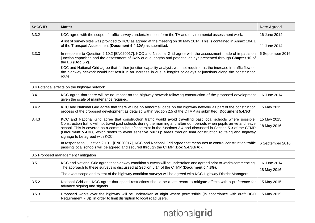| <b>SoCGID</b>                        | <b>Matter</b>                                                                                                                                                                                                                                                                                                                                                                                                                                                                                                        | <b>Date Agreed</b>         |
|--------------------------------------|----------------------------------------------------------------------------------------------------------------------------------------------------------------------------------------------------------------------------------------------------------------------------------------------------------------------------------------------------------------------------------------------------------------------------------------------------------------------------------------------------------------------|----------------------------|
| 3.3.2                                | KCC agree with the scope of traffic surveys undertaken to inform the TA and environmental assessment work.                                                                                                                                                                                                                                                                                                                                                                                                           | 16 June 2014               |
|                                      | A list of survey sites was provided to KCC as agreed at the meeting on 30 May 2014. This is contained in Annex 10A.1<br>of the Transport Assessment (Document 5.4.10A) as submitted.                                                                                                                                                                                                                                                                                                                                 | 11 June 2014               |
| 3.3.3                                | In response to Question 2.10.2 [EN020017], KCC and National Grid agree with the assessment made of impacts on<br>junction capacities and the assessment of likely queue lengths and potential delays presented through Chapter 10 of<br>the ES (Doc 5.2).<br>KCC and National Grid agree that further junction capacity analysis was not required as the increase in traffic flow on                                                                                                                                 | 6 September 2016           |
|                                      | the highway network would not result in an increase in queue lengths or delays at junctions along the construction<br>route.                                                                                                                                                                                                                                                                                                                                                                                         |                            |
|                                      | 3.4 Potential effects on the highway network                                                                                                                                                                                                                                                                                                                                                                                                                                                                         |                            |
| 3.4.1                                | KCC agree that there will be no impact on the highway network following construction of the proposed development<br>given the scale of maintenance required.                                                                                                                                                                                                                                                                                                                                                         | 16 June 2014               |
| 3.4.2                                | KCC and National Grid agree that there will be no abnormal loads on the highway network as part of the construction<br>process of the proposed development as detailed within Section 2.5 of the CTMP as submitted (Document 5.4.3G).                                                                                                                                                                                                                                                                                | 15 May 2015                |
| 3.4.3                                | KCC and National Grid agree that construction traffic would avoid travelling past local schools where possible.<br>Construction traffic will not travel past schools during the morning and afternoon periods when pupils arrive and leave<br>school. This is covered as a common issue/constraint in the Sections 3.4 and discussed in Section 5.3 of the CTMP<br>(Document 5.4.3G) which seeks to avoid sensitive built up areas through final construction routeing and highway<br>signage to be agreed with KCC. | 15 May 2015<br>18 May 2016 |
|                                      | In response to Question 2.10.1 [EN020017], KCC and National Grid agree that measures to control construction traffic<br>passing local schools will be agreed and secured through the CTMP (Doc 5.4.3G(A)).                                                                                                                                                                                                                                                                                                           | 6 September 2016           |
| 3.5 Proposed management / mitigation |                                                                                                                                                                                                                                                                                                                                                                                                                                                                                                                      |                            |
| 3.5.1                                | KCC and National Grid agree that highway condition surveys will be undertaken and agreed prior to works commencing.<br>The approach to these surveys is discussed at Section 5.14 of the CTMP (Document 5.4.3G).                                                                                                                                                                                                                                                                                                     | 16 June 2014               |
|                                      | The exact scope and extent of the highway condition surveys will be agreed with KCC Highway District Managers.                                                                                                                                                                                                                                                                                                                                                                                                       | 18 May 2016                |
| 3.5.2                                | National Grid and KCC agree that speed restrictions should be a last resort to mitigate effects with a preference for<br>advance signing and signals.                                                                                                                                                                                                                                                                                                                                                                | 15 May 2015                |
| 3.5.3                                | Proposed works over the highway will be undertaken at night where permissible (in accordance with draft DCO<br>Requirement 7(3)), in order to limit disruption to local road users.                                                                                                                                                                                                                                                                                                                                  | 15 May 2015                |

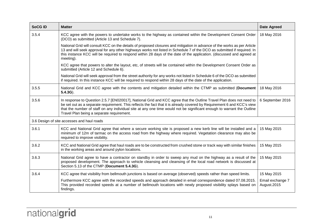| <b>SoCGID</b> | <b>Matter</b>                                                                                                                                                                                                                                                                                                                                                                                                                             | <b>Date Agreed</b>              |  |
|---------------|-------------------------------------------------------------------------------------------------------------------------------------------------------------------------------------------------------------------------------------------------------------------------------------------------------------------------------------------------------------------------------------------------------------------------------------------|---------------------------------|--|
| 3.5.4         | KCC agree with the powers to undertake works to the highway as contained within the Development Consent Order<br>(DCO) as submitted (Article 13 and Schedule 7).                                                                                                                                                                                                                                                                          | 18 May 2016                     |  |
|               | National Grid will consult KCC on the details of proposed closures and mitigation in advance of the works as per Article<br>13 and will seek approval for any other highways works not listed in Schedule 7 of the DCO as submitted if required. In<br>this instance KCC will be required to respond within 28 days of the date of the application. (discussed and agreed at<br>meeting).                                                 |                                 |  |
|               | KCC agree that powers to alter the layout, etc, of streets will be contained within the Development Consent Order as<br>submitted (Article 12 and Schedule 6).                                                                                                                                                                                                                                                                            |                                 |  |
|               | National Grid will seek approval from the street authority for any works not listed in Schedule 6 of the DCO as submitted<br>if required. In this instance KCC will be required to respond within 28 days of the date of the application.                                                                                                                                                                                                 |                                 |  |
| 3.5.5         | National Grid and KCC agree with the contents and mitigation detailed within the CTMP as submitted (Document<br>$5.4.3G$ ).                                                                                                                                                                                                                                                                                                               | 18 May 2016                     |  |
| 3.5.6         | 6 September 2016<br>In response to Question 2.5.7 [EN020017], National Grid and KCC agree that the Outline Travel Plan does not need to<br>be set out as a separate requirement. This reflects the fact that it is already covered by Requirement 6 and KCC's view<br>that the number of staff on any individual site at any one time would not be significant enough to warrant the Outline<br>Travel Plan being a separate requirement. |                                 |  |
|               | 3.6 Design of site accesses and haul roads                                                                                                                                                                                                                                                                                                                                                                                                |                                 |  |
| 3.6.1         | KCC and National Grid agree that where a secure working site is proposed a new kerb line will be installed and a<br>minimum of 12m of tarmac on the access road from the highway where required. Vegetation clearance may also be<br>required to improve visibility.                                                                                                                                                                      | 15 May 2015                     |  |
| 3.6.2         | KCC and National Grid agree that haul roads are to be constructed from crushed stone or track way with similar finishes<br>in the working areas and around pylon locations.                                                                                                                                                                                                                                                               | 15 May 2015                     |  |
| 3.6.3         | National Grid agree to have a contractor on standby in order to sweep any mud on the highway as a result of the<br>proposed development. The approach to vehicle cleansing and cleansing of the local road network is discussed at<br>Section 5.13 of the CTMP (Document 5.4.3G).                                                                                                                                                         | 15 May 2015                     |  |
| 3.6.4         | KCC agree that visibility from bellmouth junctions is based on average (observed) speeds rather than speed limits.                                                                                                                                                                                                                                                                                                                        | 15 May 2015                     |  |
|               | Furthermore KCC agree with the recorded speeds and approach detailed in email correspondence dated 07.08.2015.<br>This provided recorded speeds at a number of bellmouth locations with newly proposed visibility splays based on<br>findings.                                                                                                                                                                                            | Email exchange 7<br>August.2015 |  |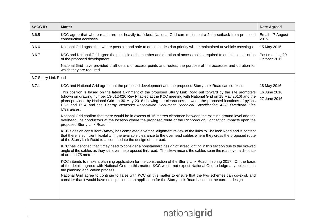| <b>SoCGID</b>        | <b>Matter</b>                                                                                                                                                                                                                                                                                                                                          | <b>Date Agreed</b>              |
|----------------------|--------------------------------------------------------------------------------------------------------------------------------------------------------------------------------------------------------------------------------------------------------------------------------------------------------------------------------------------------------|---------------------------------|
| 3.6.5                | KCC agree that where roads are not heavily trafficked, National Grid can implement a 2.4m setback from proposed<br>construction accesses.                                                                                                                                                                                                              | Email - 7 August<br>2015        |
| 3.6.6                | National Grid agree that where possible and safe to do so, pedestrian priority will be maintained at vehicle crossings.                                                                                                                                                                                                                                | 15 May 2015                     |
| 3.6.7                | KCC and National Grid agree the principle of the number and duration of access points required to enable construction<br>of the proposed development.                                                                                                                                                                                                  | Post meeting 29<br>October 2015 |
|                      | National Grid have provided draft details of access points and routes, the purpose of the accesses and duration for<br>which they are required.                                                                                                                                                                                                        |                                 |
| 3.7 Sturry Link Road |                                                                                                                                                                                                                                                                                                                                                        |                                 |
| 3.7.1                | KCC and National Grid agree that the proposed development and the proposed Sturry Link Road can co-exist.                                                                                                                                                                                                                                              | 18 May 2016                     |
|                      | This position is based on the latest alignment of the proposed Sturry Link Road put forward by the site promoters                                                                                                                                                                                                                                      | 16 June 2016                    |
|                      | (shown on drawing number 13-012-020 Rev F tabled at the KCC meeting with National Grid on 18 May 2016) and the<br>plans provided by National Grid on 30 May 2016 showing the clearances between the proposed locations of pylons<br>PC3 and PC4 and the Energy Networks Association Document Technical Specification 43-8 Overhead Line<br>Clearances. | 27 June 2016                    |
|                      | National Grid confirm that there would be in excess of 16 metres clearance between the existing ground level and the<br>overhead line conductors at the location where the proposed route of the Richborough Connection impacts upon the<br>proposed Sturry Link Road.                                                                                 |                                 |
|                      | KCC's design consultant (Amey) has completed a vertical alignment review of the links to Shallock Road and is content<br>that there is sufficient flexibility in the available clearance to the overhead cables where they cross the proposed route<br>of the Sturry Link Road to accommodate the design of the road.                                  |                                 |
|                      | KCC has identified that it may need to consider a nonstandard design of street lighting in this section due to the skewed<br>angle of the cables as they sail over the proposed link road. The skew means the cables span the road over a distance<br>of around 75 metres.                                                                             |                                 |
|                      | KCC intends to make a planning application for the construction of the Sturry Link Road in spring 2017. On the basis<br>of the details agreed with National Grid on this matter, KCC would not expect National Grid to lodge any objection in<br>the planning application process.                                                                     |                                 |
|                      | National Grid agree to continue to liaise with KCC on this matter to ensure that the two schemes can co-exist, and<br>consider that it would have no objection to an application for the Sturry Link Road based on the current design.                                                                                                                 |                                 |
|                      |                                                                                                                                                                                                                                                                                                                                                        |                                 |
|                      |                                                                                                                                                                                                                                                                                                                                                        |                                 |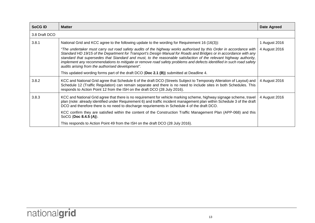| <b>SoCG ID</b> | <b>Matter</b>                                                                                                                                                                                                                                                                                                                                                                                                                                                                                                                            | Date Agreed   |
|----------------|------------------------------------------------------------------------------------------------------------------------------------------------------------------------------------------------------------------------------------------------------------------------------------------------------------------------------------------------------------------------------------------------------------------------------------------------------------------------------------------------------------------------------------------|---------------|
| 3.8 Draft DCO  |                                                                                                                                                                                                                                                                                                                                                                                                                                                                                                                                          |               |
| 3.8.1          | National Grid and KCC agree to the following update to the wording for Requirement 16 (16(3)):                                                                                                                                                                                                                                                                                                                                                                                                                                           | 1 August 2016 |
|                | "The undertaker must carry out road safety audits of the highway works authorised by this Order in accordance with<br>Standard HD 19/15 of the Department for Transport's Design Manual for Roads and Bridges or in accordance with any<br>standard that supersedes that Standard and must, to the reasonable satisfaction of the relevant highway authority,<br>implement any recommendations to mitigate or remove road safety problems and defects identified in such road safety<br>audits arising from the authorised development". | 4 August 2016 |
|                | This updated wording forms part of the draft DCO (Doc 2.1 $(B)$ ) submitted at Deadline 4.                                                                                                                                                                                                                                                                                                                                                                                                                                               |               |
| 3.8.2          | KCC and National Grid agree that Schedule 6 of the draft DCO (Streets Subject to Temporaty Alteration of Layout) and<br>Schedule 12 (Traffic Regulation) can remain separate and there is no need to include sites in both Schedules. This<br>responds to Action Point 12 from the ISH on the draft DCO (28 July 2016).                                                                                                                                                                                                                  | 4 August 2016 |
| 3.8.3          | KCC and National Grid agree that there is no requirement for vehicle marking scheme, highway signage scheme, travel<br>plan (note: already identified under Requirement 6) and traffic incident management plan within Schedule 3 of the draft<br>DCO and therefore there is no need to discharge requriements in Schedule 4 of the draft DCO.                                                                                                                                                                                           | 4 August 2016 |
|                | KCC confirm they are satisfied within the content of the Construction Traffic Management Plan (APP-068) and this<br>SoCG (Doc 8.4.5 (A)).                                                                                                                                                                                                                                                                                                                                                                                                |               |
|                | This responds to Action Point 49 from the ISH on the draft DCO (28 July 2016).                                                                                                                                                                                                                                                                                                                                                                                                                                                           |               |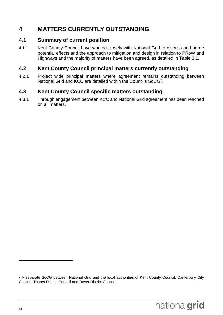## <span id="page-19-0"></span>**4 MATTERS CURRENTLY OUTSTANDING**

#### <span id="page-19-1"></span>**4.1 Summary of current position**

4.1.1 Kent County Council have worked closely with National Grid to discuss and agree potential effects and the approach to mitigation and design in relation to PRoW and Highways and the majority of matters have been agreed, as detailed in Table 3.1.

#### <span id="page-19-2"></span>**4.2 Kent County Council principal matters currently outstanding**

4.2.1 Project wide principal matters where agreement remains outstanding between National Grid and KCC are detailed within the Councils SoCG<sup>[3](#page-19-4)</sup>.

#### <span id="page-19-3"></span>**4.3 Kent County Council specific matters outstanding**

4.3.1 Through engagement between KCC and National Grid agreement has been reached on all matters.

 $\overline{a}$ 

<span id="page-19-4"></span><sup>&</sup>lt;sup>3</sup> A separate SoCG between National Grid and the local authorities of Kent County Council, Canterbury City Council, Thanet District Council and Dover District Council.